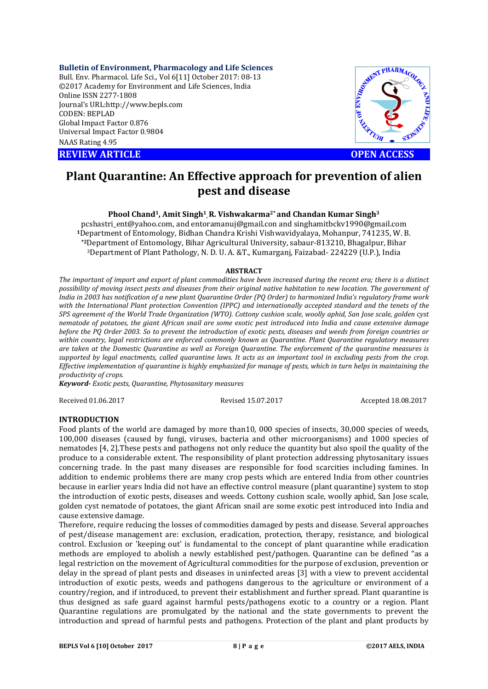**Bulletin of Environment, Pharmacology and Life Sciences**

Bull. Env. Pharmacol. Life Sci., Vol 6[11] October 2017: 08-13 ©2017 Academy for Environment and Life Sciences, India Online ISSN 2277-1808 Journal's URL:http://www.bepls.com CODEN: BEPLAD Global Impact Factor 0.876 Universal Impact Factor 0.9804 NAAS Rating 4.95

**REVIEW ARTICLE CONSUMING A REVIEW ARTICLE** 



# **Plant Quarantine: An Effective approach for prevention of alien pest and disease**

# **Phool Chand1, Amit Singh1, R. Vishwakarma2\* and Chandan Kumar Singh3**

pcshastri\_ent@yahoo.com, and entoramanuj@gmail.con and singhamitbckv1990@gmail.com **<sup>1</sup>**Department of Entomology, Bidhan Chandra Krishi Vishwavidyalaya, Mohanpur, 741235, W. B. **\*2**Department of Entomology, Bihar Agricultural University, sabaur-813210, Bhagalpur, Bihar 3Department of Plant Pathology, N. D. U. A. &T., Kumarganj, Faizabad- 224229 (U.P.), India

#### **ABSTRACT**

*The important of import and export of plant commodities have been increased during the recent era; there is a distinct possibility of moving insect pests and diseases from their original native habitation to new location. The government of India in 2003 has notification of a new plant Quarantine Order (PQ Order) to harmonized India's regulatory frame work*  with the International Plant protection Convention (IPPC) and internationally accepted standard and the tenets of the *SPS agreement of the World Trade Organization (WTO). Cottony cushion scale, woolly aphid, San Jose scale, golden cyst nematode of potatoes, the giant African snail are some exotic pest introduced into India and cause extensive damage before the PQ Order 2003. So to prevent the introduction of exotic pests, diseases and weeds from foreign countries or within country, legal restrictions are enforced commonly known as Quarantine. Plant Quarantine regulatory measures are taken at the Domestic Quarantine as well as Foreign Quarantine. The enforcement of the quarantine measures is supported by legal enactments, called quarantine laws. It acts as an important tool in excluding pests from the crop. Effective implementation of quarantine is highly emphasized for manage of pests, which in turn helps in maintaining the productivity of crops.*

*Keyword- Exotic pests, Quarantine, Phytosanitary measures*

Received 01.06.2017 Revised 15.07.2017 Accepted 18.08.2017

# **INTRODUCTION**

Food plants of the world are damaged by more than10, 000 species of insects, 30,000 species of weeds, 100,000 diseases (caused by fungi, viruses, bacteria and other microorganisms) and 1000 species of nematodes [4, 2].These pests and pathogens not only reduce the quantity but also spoil the quality of the produce to a considerable extent. The responsibility of plant protection addressing phytosanitary issues concerning trade. In the past many diseases are responsible for food scarcities including famines. In addition to endemic problems there are many crop pests which are entered India from other countries because in earlier years India did not have an effective control measure (plant quarantine) system to stop the introduction of exotic pests, diseases and weeds. Cottony cushion scale, woolly aphid, San Jose scale, golden cyst nematode of potatoes, the giant African snail are some exotic pest introduced into India and cause extensive damage.

Therefore, require reducing the losses of commodities damaged by pests and disease. Several approaches of pest/disease management are: exclusion, eradication, protection, therapy, resistance, and biological control. Exclusion or 'keeping out' is fundamental to the concept of plant quarantine while eradication methods are employed to abolish a newly established pest/pathogen. Quarantine can be defined "as a legal restriction on the movement of Agricultural commodities for the purpose of exclusion, prevention or delay in the spread of plant pests and diseases in uninfected areas [3] with a view to prevent accidental introduction of exotic pests, weeds and pathogens dangerous to the agriculture or environment of a country/region, and if introduced, to prevent their establishment and further spread. Plant quarantine is thus designed as safe guard against harmful pests/pathogens exotic to a country or a region. Plant Quarantine regulations are promulgated by the national and the state governments to prevent the introduction and spread of harmful pests and pathogens. Protection of the plant and plant products by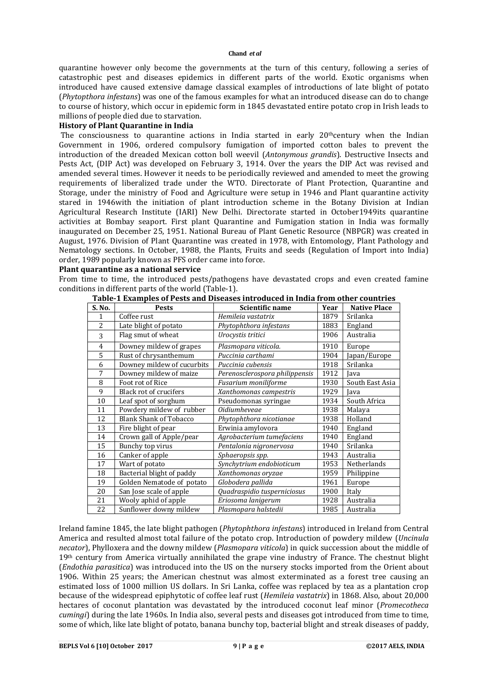quarantine however only become the governments at the turn of this century, following a series of catastrophic pest and diseases epidemics in different parts of the world. Exotic organisms when introduced have caused extensive damage classical examples of introductions of late blight of potato (*Phytopthora infestans*) was one of the famous examples for what an introduced disease can do to change to course of history, which occur in epidemic form in 1845 devastated entire potato crop in Irish leads to millions of people died due to starvation.

#### **History of Plant Quarantine in India**

The consciousness to quarantine actions in India started in early  $20<sup>th</sup>$ century when the Indian Government in 1906, ordered compulsory fumigation of imported cotton bales to prevent the introduction of the dreaded Mexican cotton boll weevil (*Antonymous grandis*). Destructive Insects and Pests Act, (DIP Act) was developed on February 3, 1914. Over the years the DIP Act was revised and amended several times. However it needs to be periodically reviewed and amended to meet the growing requirements of liberalized trade under the WTO. Directorate of Plant Protection, Quarantine and Storage, under the ministry of Food and Agriculture were setup in 1946 and Plant quarantine activity stared in 1946with the initiation of plant introduction scheme in the Botany Division at Indian Agricultural Research Institute (IARI) New Delhi. Directorate started in October1949its quarantine activities at Bombay seaport. First plant Quarantine and Fumigation station in India was formally inaugurated on December 25, 1951. National Bureau of Plant Genetic Resource (NBPGR) was created in August, 1976. Division of Plant Quarantine was created in 1978, with Entomology, Plant Pathology and Nematology sections. In October, 1988, the Plants, Fruits and seeds (Regulation of Import into India) order, 1989 popularly known as PFS order came into force.

#### **Plant quarantine as a national service**

From time to time, the introduced pests/pathogens have devastated crops and even created famine conditions in different parts of the world (Table-1).

| S. No.         | <b>Pests</b>                  | Scientific name                | Year | <b>Native Place</b> |
|----------------|-------------------------------|--------------------------------|------|---------------------|
|                | Coffee rust                   | Hemileia vastatrix             | 1879 | Srilanka            |
| $\overline{2}$ | Late blight of potato         | Phytophthora infestans         | 1883 | England             |
| 3              | Flag smut of wheat            | Urocystis tritici              | 1906 | Australia           |
| $\overline{4}$ | Downey mildew of grapes       | Plasmopara viticola.           | 1910 | Europe              |
| 5              | Rust of chrysanthemum         | Puccinia carthami              | 1904 | Japan/Europe        |
| 6              | Downey mildew of cucurbits    | Puccinia cubensis              | 1918 | Srilanka            |
| 7              | Downey mildew of maize        | Perenosclerospora philippensis | 1912 | Java                |
| 8              | Foot rot of Rice              | Fusarium moniliforme           | 1930 | South East Asia     |
| 9              | Black rot of crucifers        | Xanthomonas campestris         | 1929 | Java                |
| 10             | Leaf spot of sorghum          | Pseudomonas syringae           | 1934 | South Africa        |
| 11             | Powdery mildew of rubber      | <i><b>Oidiumheveae</b></i>     | 1938 | Malaya              |
| 12             | <b>Blank Shank of Tobacco</b> | Phytophthora nicotianae        | 1938 | Holland             |
| 13             | Fire blight of pear           | Erwinia amylovora              | 1940 | England             |
| 14             | Crown gall of Apple/pear      | Agrobacterium tumefaciens      | 1940 | England             |
| 15             | Bunchy top virus              | Pentalonia nigronervosa        | 1940 | Srilanka            |
| 16             | Canker of apple               | Sphaeropsis spp.               | 1943 | Australia           |
| 17             | Wart of potato                | Synchytrium endobioticum       | 1953 | Netherlands         |
| 18             | Bacterial blight of paddy     | Xanthomonas oryzae             | 1959 | Philippine          |
| 19             | Golden Nematode of potato     | Globodera pallida              | 1961 | Europe              |
| 20             | San Jose scale of apple       | Quadraspidio tusperniciosus    | 1900 | Italy               |
| 21             | Wooly aphid of apple          | Eriosoma lanigerum             | 1928 | Australia           |
| 22             | Sunflower downy mildew        | Plasmopara halstedii           | 1985 | Australia           |

**Table-1 Examples of Pests and Diseases introduced in India from other countries**

Ireland famine 1845, the late blight pathogen (*Phytophthora infestans*) introduced in Ireland from Central America and resulted almost total failure of the potato crop. Introduction of powdery mildew (*Uncinula necator*), Phylloxera and the downy mildew (*Plasmopara viticola*) in quick succession about the middle of 19<sup>th</sup> century from America virtually annihilated the grape vine industry of France. The chestnut blight (*Endothia parasitica*) was introduced into the US on the nursery stocks imported from the Orient about 1906. Within 25 years; the American chestnut was almost exterminated as a forest tree causing an estimated loss of 1000 million US dollars. In Sri Lanka, coffee was replaced by tea as a plantation crop because of the widespread epiphytotic of coffee leaf rust (*Hemileia vastatrix*) in 1868. Also, about 20,000 hectares of coconut plantation was devastated by the introduced coconut leaf minor (*Promecotheca cumingi*) during the late 1960s. In India also, several pests and diseases got introduced from time to time, some of which, like late blight of potato, banana bunchy top, bacterial blight and streak diseases of paddy,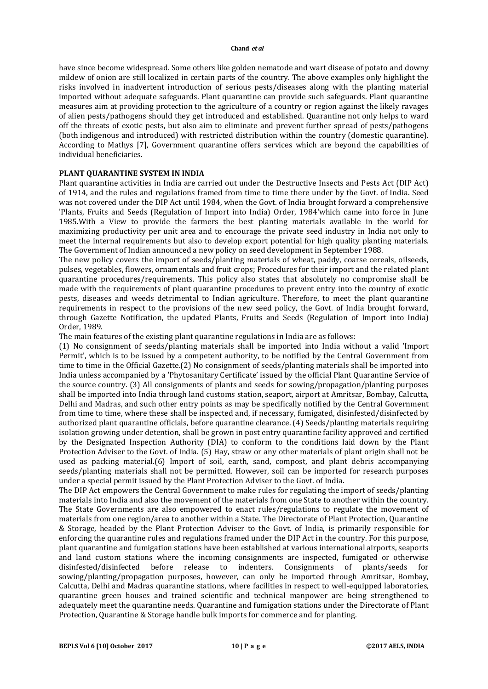have since become widespread. Some others like golden nematode and wart disease of potato and downy mildew of onion are still localized in certain parts of the country. The above examples only highlight the risks involved in inadvertent introduction of serious pests/diseases along with the planting material imported without adequate safeguards. Plant quarantine can provide such safeguards. Plant quarantine measures aim at providing protection to the agriculture of a country or region against the likely ravages of alien pests/pathogens should they get introduced and established. Quarantine not only helps to ward off the threats of exotic pests, but also aim to eliminate and prevent further spread of pests/pathogens (both indigenous and introduced) with restricted distribution within the country (domestic quarantine). According to Mathys [7], Government quarantine offers services which are beyond the capabilities of individual beneficiaries.

## **PLANT QUARANTINE SYSTEM IN INDIA**

Plant quarantine activities in India are carried out under the Destructive Insects and Pests Act (DIP Act) of 1914, and the rules and regulations framed from time to time there under by the Govt. of India. Seed was not covered under the DIP Act until 1984, when the Govt. of India brought forward a comprehensive 'Plants, Fruits and Seeds (Regulation of Import into India) Order, 1984'which came into force in June 1985.With a View to provide the farmers the best planting materials available in the world for maximizing productivity per unit area and to encourage the private seed industry in India not only to meet the internal requirements but also to develop export potential for high quality planting materials. The Government of Indian announced a new policy on seed development in September 1988.

The new policy covers the import of seeds/planting materials of wheat, paddy, coarse cereals, oilseeds, pulses, vegetables, flowers, ornamentals and fruit crops; Procedures for their import and the related plant quarantine procedures/requirements. This policy also states that absolutely no compromise shall be made with the requirements of plant quarantine procedures to prevent entry into the country of exotic pests, diseases and weeds detrimental to Indian agriculture. Therefore, to meet the plant quarantine requirements in respect to the provisions of the new seed policy, the Govt. of India brought forward, through Gazette Notification, the updated Plants, Fruits and Seeds (Regulation of Import into India) Order, 1989.

The main features of the existing plant quarantine regulations in India are as follows:

(1) No consignment of seeds/planting materials shall be imported into India without a valid 'Import Permit', which is to be issued by a competent authority, to be notified by the Central Government from time to time in the Official Gazette.(2) No consignment of seeds/planting materials shall be imported into India unless accompanied by a 'Phytosanitary Certificate' issued by the official Plant Quarantine Service of the source country. (3) All consignments of plants and seeds for sowing/propagation/planting purposes shall be imported into India through land customs station, seaport, airport at Amritsar, Bombay, Calcutta, Delhi and Madras, and such other entry points as may be specifically notified by the Central Government from time to time, where these shall be inspected and, if necessary, fumigated, disinfested/disinfected by authorized plant quarantine officials, before quarantine clearance. (4) Seeds/planting materials requiring isolation growing under detention, shall be grown in post entry quarantine facility approved and certified by the Designated Inspection Authority (DIA) to conform to the conditions laid down by the Plant Protection Adviser to the Govt. of India. (5) Hay, straw or any other materials of plant origin shall not be used as packing material.(6) Import of soil, earth, sand, compost, and plant debris accompanying seeds/planting materials shall not be permitted. However, soil can be imported for research purposes under a special permit issued by the Plant Protection Adviser to the Govt. of India.

The DIP Act empowers the Central Government to make rules for regulating the import of seeds/planting materials into India and also the movement of the materials from one State to another within the country. The State Governments are also empowered to enact rules/regulations to regulate the movement of materials from one region/area to another within a State. The Directorate of Plant Protection, Quarantine & Storage, headed by the Plant Protection Adviser to the Govt. of India, is primarily responsible for enforcing the quarantine rules and regulations framed under the DIP Act in the country. For this purpose, plant quarantine and fumigation stations have been established at various international airports, seaports and land custom stations where the incoming consignments are inspected, fumigated or otherwise disinfested/disinfected before release to indenters. Consignments of plants/seeds for sowing/planting/propagation purposes, however, can only be imported through Amritsar, Bombay, Calcutta, Delhi and Madras quarantine stations, where facilities in respect to well-equipped laboratories, quarantine green houses and trained scientific and technical manpower are being strengthened to adequately meet the quarantine needs. Quarantine and fumigation stations under the Directorate of Plant Protection, Quarantine & Storage handle bulk imports for commerce and for planting.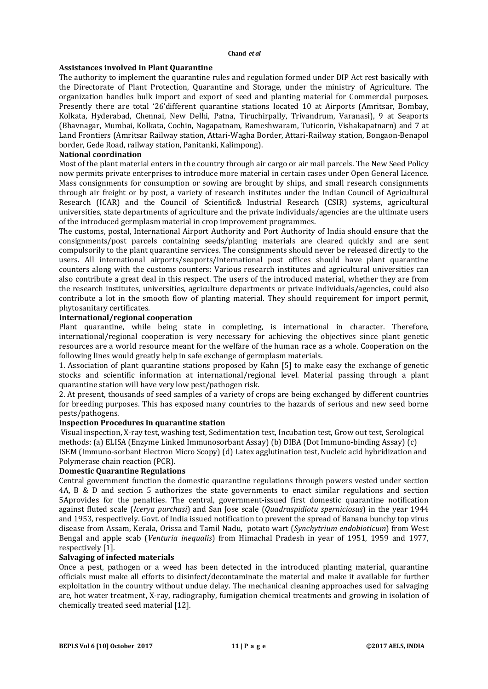#### **Assistances involved in Plant Quarantine**

The authority to implement the quarantine rules and regulation formed under DIP Act rest basically with the Directorate of Plant Protection, Quarantine and Storage, under the ministry of Agriculture. The organization handles bulk import and export of seed and planting material for Commercial purposes. Presently there are total '26'different quarantine stations located 10 at Airports (Amritsar, Bombay, Kolkata, Hyderabad, Chennai, New Delhi, Patna, Tiruchirpally, Trivandrum, Varanasi), 9 at Seaports (Bhavnagar, Mumbai, Kolkata, Cochin, Nagapatnam, Rameshwaram, Tuticorin, Vishakapatnarn) and 7 at Land Frontiers (Amritsar Railway station, Attari-Wagha Border, Attari-Railway station, Bongaon-Benapol border, Gede Road, railway station, Panitanki, Kalimpong).

## **National coordination**

Most of the plant material enters in the country through air cargo or air mail parcels. The New Seed Policy now permits private enterprises to introduce more material in certain cases under Open General Licence. Mass consignments for consumption or sowing are brought by ships, and small research consignments through air freight or by post, a variety of research institutes under the Indian Council of Agricultural Research (ICAR) and the Council of Scientific& Industrial Research (CSIR) systems, agricultural universities, state departments of agriculture and the private individuals/agencies are the ultimate users of the introduced germplasm material in crop improvement programmes.

The customs, postal, International Airport Authority and Port Authority of India should ensure that the consignments/post parcels containing seeds/planting materials are cleared quickly and are sent compulsorily to the plant quarantine services. The consignments should never be released directly to the users. All international airports/seaports/international post offices should have plant quarantine counters along with the customs counters: Various research institutes and agricultural universities can also contribute a great deal in this respect. The users of the introduced material, whether they are from the research institutes, universities, agriculture departments or private individuals/agencies, could also contribute a lot in the smooth flow of planting material. They should requirement for import permit, phytosanitary certificates.

## **International/regional cooperation**

Plant quarantine, while being state in completing, is international in character. Therefore, international/regional cooperation is very necessary for achieving the objectives since plant genetic resources are a world resource meant for the welfare of the human race as a whole. Cooperation on the following lines would greatly help in safe exchange of germplasm materials.

1. Association of plant quarantine stations proposed by Kahn [5] to make easy the exchange of genetic stocks and scientific information at international/regional level. Material passing through a plant quarantine station will have very low pest/pathogen risk.

2. At present, thousands of seed samples of a variety of crops are being exchanged by different countries for breeding purposes. This has exposed many countries to the hazards of serious and new seed borne pests/pathogens.

## **Inspection Procedures in quarantine station**

Visual inspection, X-ray test, washing test, Sedimentation test, Incubation test, Grow out test, Serological methods: (a) ELISA (Enzyme Linked Immunosorbant Assay) (b) DIBA (Dot Immuno-binding Assay) (c) ISEM (Immuno-sorbant Electron Micro Scopy) (d) Latex agglutination test, Nucleic acid hybridization and Polymerase chain reaction (PCR).

## **Domestic Quarantine Regulations**

Central government function the domestic quarantine regulations through powers vested under section 4A, B & D and section 5 authorizes the state governments to enact similar regulations and section 5Aprovides for the penalties. The central, government-issued first domestic quarantine notification against fluted scale (*Icerya purchasi*) and San Jose scale (*Quadraspidiotu sperniciosus*) in the year 1944 and 1953, respectively. Govt. of India issued notification to prevent the spread of Banana bunchy top virus disease from Assam, Kerala, Orissa and Tamil Nadu, potato wart (*Synchytrium endobioticum*) from West Bengal and apple scab (*Venturia inequalis*) from Himachal Pradesh in year of 1951, 1959 and 1977, respectively [1].

#### **Salvaging of infected materials**

Once a pest, pathogen or a weed has been detected in the introduced planting material, quarantine officials must make all efforts to disinfect/decontaminate the material and make it available for further exploitation in the country without undue delay. The mechanical cleaning approaches used for salvaging are, hot water treatment, X-ray, radiography, fumigation chemical treatments and growing in isolation of chemically treated seed material [12].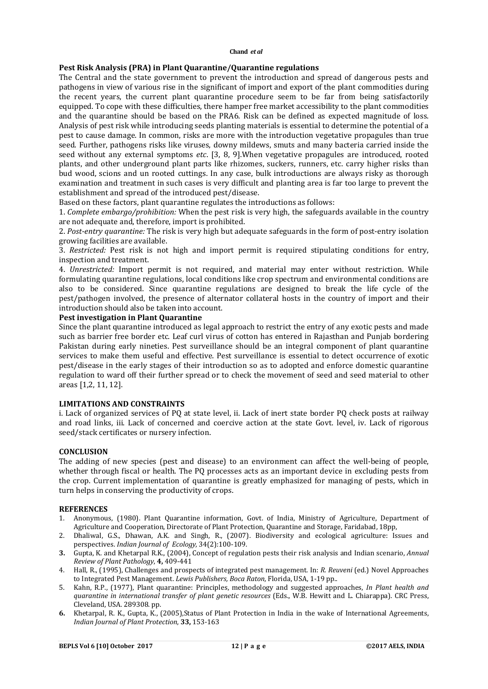## **Pest Risk Analysis (PRA) in Plant Quarantine/Quarantine regulations**

The Central and the state government to prevent the introduction and spread of dangerous pests and pathogens in view of various rise in the significant of import and export of the plant commodities during the recent years, the current plant quarantine procedure seem to be far from being satisfactorily equipped. To cope with these difficulties, there hamper free market accessibility to the plant commodities and the quarantine should be based on the PRA6. Risk can be defined as expected magnitude of loss. Analysis of pest risk while introducing seeds planting materials is essential to determine the potential of a pest to cause damage. In common, risks are more with the introduction vegetative propagules than true seed. Further, pathogens risks like viruses, downy mildews, smuts and many bacteria carried inside the seed without any external symptoms *etc*. [3, 8, 9].When vegetative propagules are introduced, rooted plants, and other underground plant parts like rhizomes, suckers, runners, etc. carry higher risks than bud wood, scions and un rooted cuttings. In any case, bulk introductions are always risky as thorough examination and treatment in such cases is very difficult and planting area is far too large to prevent the establishment and spread of the introduced pest/disease.

Based on these factors, plant quarantine regulates the introductions as follows:

1. *Complete embargo/prohibition:* When the pest risk is very high, the safeguards available in the country are not adequate and, therefore, import is prohibited.

2. *Post-entry quarantine:* The risk is very high but adequate safeguards in the form of post-entry isolation growing facilities are available.

3. *Restricted:* Pest risk is not high and import permit is required stipulating conditions for entry, inspection and treatment.

4. *Unrestricted:* Import permit is not required, and material may enter without restriction. While formulating quarantine regulations, local conditions like crop spectrum and environmental conditions are also to be considered. Since quarantine regulations are designed to break the life cycle of the pest/pathogen involved, the presence of alternator collateral hosts in the country of import and their introduction should also be taken into account.

## **Pest investigation in Plant Quarantine**

Since the plant quarantine introduced as legal approach to restrict the entry of any exotic pests and made such as barrier free border etc. Leaf curl virus of cotton has entered in Rajasthan and Punjab bordering Pakistan during early nineties. Pest surveillance should be an integral component of plant quarantine services to make them useful and effective. Pest surveillance is essential to detect occurrence of exotic pest/disease in the early stages of their introduction so as to adopted and enforce domestic quarantine regulation to ward off their further spread or to check the movement of seed and seed material to other areas [1,2, 11, 12].

#### **LIMITATIONS AND CONSTRAINTS**

i. Lack of organized services of PQ at state level, ii. Lack of inert state border PQ check posts at railway and road links, iii. Lack of concerned and coercive action at the state Govt. level, iv. Lack of rigorous seed/stack certificates or nursery infection.

# **CONCLUSION**

The adding of new species (pest and disease) to an environment can affect the well-being of people, whether through fiscal or health. The PO processes acts as an important device in excluding pests from the crop. Current implementation of quarantine is greatly emphasized for managing of pests, which in turn helps in conserving the productivity of crops.

#### **REFERENCES**

- 1. Anonymous, (1980). Plant Quarantine information, Govt. of India, Ministry of Agriculture, Department of Agriculture and Cooperation, Directorate of Plant Protection, Quarantine and Storage, Faridabad, 18pp,
- 2. Dhaliwal, G.S., Dhawan, A.K. and Singh, R., (2007). Biodiversity and ecological agriculture: Issues and perspectives. *Indian Journal of Ecology,* 34(2):100-109.
- **3.** Gupta, K. and Khetarpal R.K., (2004), Concept of regulation pests their risk analysis and Indian scenario, *Annual Review of Plant Pathology*, **4,** 409-441
- 4. Hall, R., (1995), Challenges and prospects of integrated pest management. In: *R. Reuveni* (ed.) Novel Approaches to Integrated Pest Management. *Lewis Publishers, Boca Raton*, Florida, USA, 1-19 pp..
- 5. Kahn, R.P., (1977), Plant quarantine: Principles, methodology and suggested approaches, *In Plant health and quarantine in international transfer of plant genetic resources* (Eds., W.B. Hewitt and L. Chiarappa). CRC Press, Cleveland, USA. 289308. pp.
- **6.** Khetarpal, R. K., Gupta, K., (2005),Status of Plant Protection in India in the wake of International Agreements, *Indian Journal of Plant Protection*, **33,** 153-163